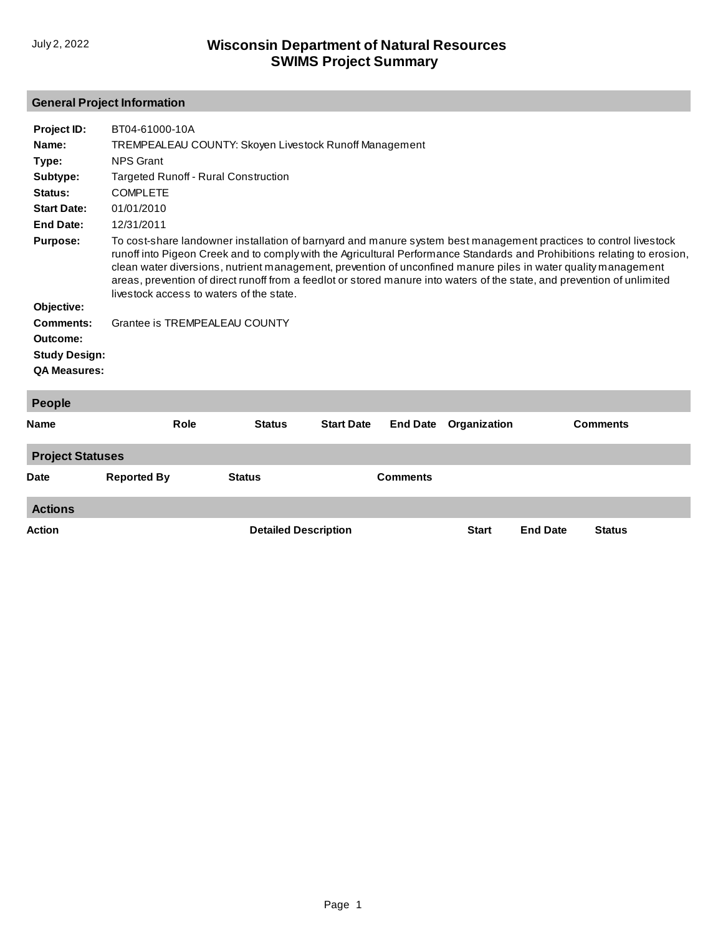## **General Project Information**

| Project ID:             | BT04-61000-10A                                                                                                                                                                                                                                                                                                                                                                                                                                                                                                                          |                             |                   |                 |              |                 |                 |  |  |  |
|-------------------------|-----------------------------------------------------------------------------------------------------------------------------------------------------------------------------------------------------------------------------------------------------------------------------------------------------------------------------------------------------------------------------------------------------------------------------------------------------------------------------------------------------------------------------------------|-----------------------------|-------------------|-----------------|--------------|-----------------|-----------------|--|--|--|
| Name:                   | TREMPEALEAU COUNTY: Skoyen Livestock Runoff Management                                                                                                                                                                                                                                                                                                                                                                                                                                                                                  |                             |                   |                 |              |                 |                 |  |  |  |
| Type:                   | <b>NPS Grant</b>                                                                                                                                                                                                                                                                                                                                                                                                                                                                                                                        |                             |                   |                 |              |                 |                 |  |  |  |
| Subtype:                | <b>Targeted Runoff - Rural Construction</b>                                                                                                                                                                                                                                                                                                                                                                                                                                                                                             |                             |                   |                 |              |                 |                 |  |  |  |
| Status:                 | <b>COMPLETE</b>                                                                                                                                                                                                                                                                                                                                                                                                                                                                                                                         |                             |                   |                 |              |                 |                 |  |  |  |
| <b>Start Date:</b>      | 01/01/2010                                                                                                                                                                                                                                                                                                                                                                                                                                                                                                                              |                             |                   |                 |              |                 |                 |  |  |  |
| <b>End Date:</b>        | 12/31/2011                                                                                                                                                                                                                                                                                                                                                                                                                                                                                                                              |                             |                   |                 |              |                 |                 |  |  |  |
| <b>Purpose:</b>         | To cost-share landowner installation of barnyard and manure system best management practices to control livestock<br>runoff into Pigeon Creek and to comply with the Agricultural Performance Standards and Prohibitions relating to erosion,<br>clean water diversions, nutrient management, prevention of unconfined manure piles in water quality management<br>areas, prevention of direct runoff from a feedlot or stored manure into waters of the state, and prevention of unlimited<br>livestock access to waters of the state. |                             |                   |                 |              |                 |                 |  |  |  |
| Objective:              |                                                                                                                                                                                                                                                                                                                                                                                                                                                                                                                                         |                             |                   |                 |              |                 |                 |  |  |  |
| Comments:               | Grantee is TREMPEALEAU COUNTY                                                                                                                                                                                                                                                                                                                                                                                                                                                                                                           |                             |                   |                 |              |                 |                 |  |  |  |
| Outcome:                |                                                                                                                                                                                                                                                                                                                                                                                                                                                                                                                                         |                             |                   |                 |              |                 |                 |  |  |  |
| <b>Study Design:</b>    |                                                                                                                                                                                                                                                                                                                                                                                                                                                                                                                                         |                             |                   |                 |              |                 |                 |  |  |  |
| <b>QA Measures:</b>     |                                                                                                                                                                                                                                                                                                                                                                                                                                                                                                                                         |                             |                   |                 |              |                 |                 |  |  |  |
| People                  |                                                                                                                                                                                                                                                                                                                                                                                                                                                                                                                                         |                             |                   |                 |              |                 |                 |  |  |  |
| Name                    | Role                                                                                                                                                                                                                                                                                                                                                                                                                                                                                                                                    | <b>Status</b>               | <b>Start Date</b> | <b>End Date</b> | Organization |                 | <b>Comments</b> |  |  |  |
| <b>Project Statuses</b> |                                                                                                                                                                                                                                                                                                                                                                                                                                                                                                                                         |                             |                   |                 |              |                 |                 |  |  |  |
| Date                    | <b>Reported By</b>                                                                                                                                                                                                                                                                                                                                                                                                                                                                                                                      | <b>Status</b>               |                   | <b>Comments</b> |              |                 |                 |  |  |  |
| <b>Actions</b>          |                                                                                                                                                                                                                                                                                                                                                                                                                                                                                                                                         |                             |                   |                 |              |                 |                 |  |  |  |
| Action                  |                                                                                                                                                                                                                                                                                                                                                                                                                                                                                                                                         | <b>Detailed Description</b> |                   |                 | <b>Start</b> | <b>End Date</b> | <b>Status</b>   |  |  |  |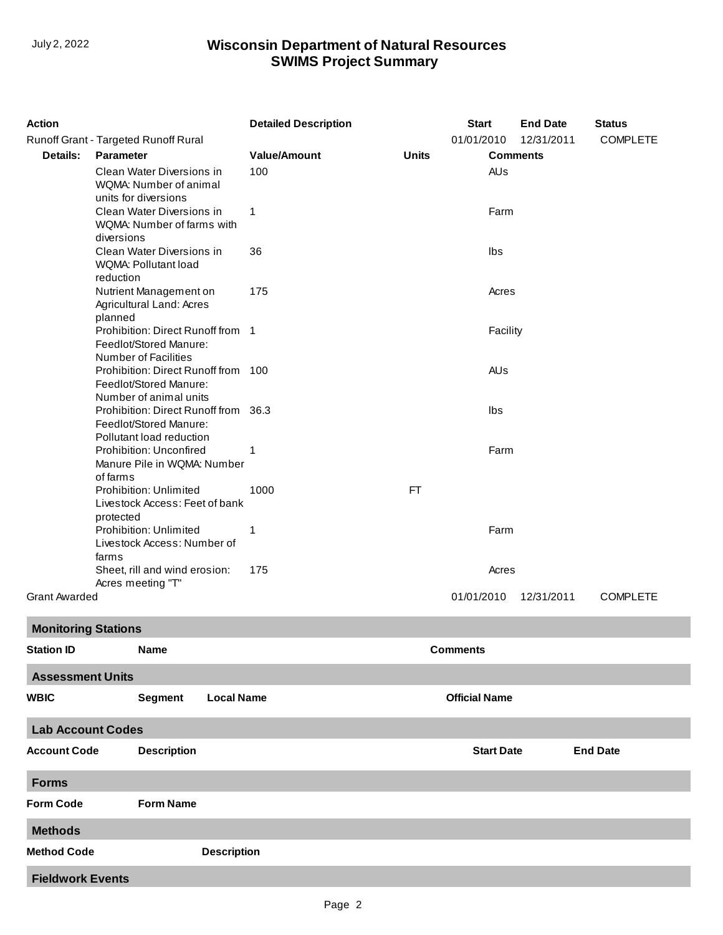## **SWIMS Project Summary** July 2, 2022 **Wisconsin Department of Natural Resources**

| <b>Action</b>                                                               |                                                                                            | <b>Detailed Description</b> |              | <b>Start</b>         | <b>End Date</b> | <b>Status</b>   |  |  |
|-----------------------------------------------------------------------------|--------------------------------------------------------------------------------------------|-----------------------------|--------------|----------------------|-----------------|-----------------|--|--|
| Runoff Grant - Targeted Runoff Rural                                        |                                                                                            |                             |              | 01/01/2010           | 12/31/2011      | <b>COMPLETE</b> |  |  |
| Details:                                                                    | <b>Parameter</b>                                                                           | <b>Value/Amount</b>         | <b>Units</b> |                      | <b>Comments</b> |                 |  |  |
| Clean Water Diversions in<br>WQMA: Number of animal<br>units for diversions |                                                                                            | 100                         |              | <b>AUs</b>           |                 |                 |  |  |
|                                                                             | Clean Water Diversions in<br>WQMA: Number of farms with<br>diversions                      | $\mathbf{1}$                |              |                      |                 |                 |  |  |
|                                                                             | Clean Water Diversions in<br>WQMA: Pollutant load<br>reduction                             | 36                          | Ibs          |                      |                 |                 |  |  |
|                                                                             | Nutrient Management on<br>Agricultural Land: Acres<br>planned                              | 175<br>Acres                |              |                      |                 |                 |  |  |
|                                                                             | Prohibition: Direct Runoff from 1<br>Feedlot/Stored Manure:<br><b>Number of Facilities</b> |                             | Facility     |                      |                 |                 |  |  |
|                                                                             | Prohibition: Direct Runoff from 100<br>Feedlot/Stored Manure:<br>Number of animal units    |                             |              | <b>AUs</b>           |                 |                 |  |  |
|                                                                             | Prohibition: Direct Runoff from 36.3<br>Feedlot/Stored Manure:<br>Pollutant load reduction |                             |              | Ibs<br>Farm          |                 |                 |  |  |
|                                                                             | Prohibition: Unconfired<br>Manure Pile in WQMA: Number<br>of farms                         | 1                           |              |                      |                 |                 |  |  |
| Prohibition: Unlimited<br>Livestock Access: Feet of bank<br>protected       |                                                                                            | 1000                        | <b>FT</b>    |                      |                 |                 |  |  |
|                                                                             | Prohibition: Unlimited<br>Livestock Access: Number of<br>farms                             | 1                           | Farm         |                      |                 |                 |  |  |
| Sheet, rill and wind erosion:                                               |                                                                                            | 175                         |              | Acres                |                 |                 |  |  |
| <b>Grant Awarded</b>                                                        | Acres meeting "T"                                                                          |                             |              | 01/01/2010           | 12/31/2011      | <b>COMPLETE</b> |  |  |
| <b>Monitoring Stations</b>                                                  |                                                                                            |                             |              |                      |                 |                 |  |  |
| <b>Station ID</b>                                                           | <b>Name</b>                                                                                |                             |              | <b>Comments</b>      |                 |                 |  |  |
| <b>Assessment Units</b>                                                     |                                                                                            |                             |              |                      |                 |                 |  |  |
| <b>WBIC</b>                                                                 | <b>Local Name</b><br><b>Segment</b>                                                        |                             |              | <b>Official Name</b> |                 |                 |  |  |
| <b>Lab Account Codes</b>                                                    |                                                                                            |                             |              |                      |                 |                 |  |  |
| <b>Account Code</b>                                                         | <b>Description</b>                                                                         |                             |              | <b>Start Date</b>    |                 | <b>End Date</b> |  |  |
| <b>Forms</b>                                                                |                                                                                            |                             |              |                      |                 |                 |  |  |
| <b>Form Code</b>                                                            | <b>Form Name</b>                                                                           |                             |              |                      |                 |                 |  |  |
| <b>Methods</b>                                                              |                                                                                            |                             |              |                      |                 |                 |  |  |
| <b>Method Code</b>                                                          | <b>Description</b>                                                                         |                             |              |                      |                 |                 |  |  |
| <b>Fieldwork Events</b>                                                     |                                                                                            |                             |              |                      |                 |                 |  |  |